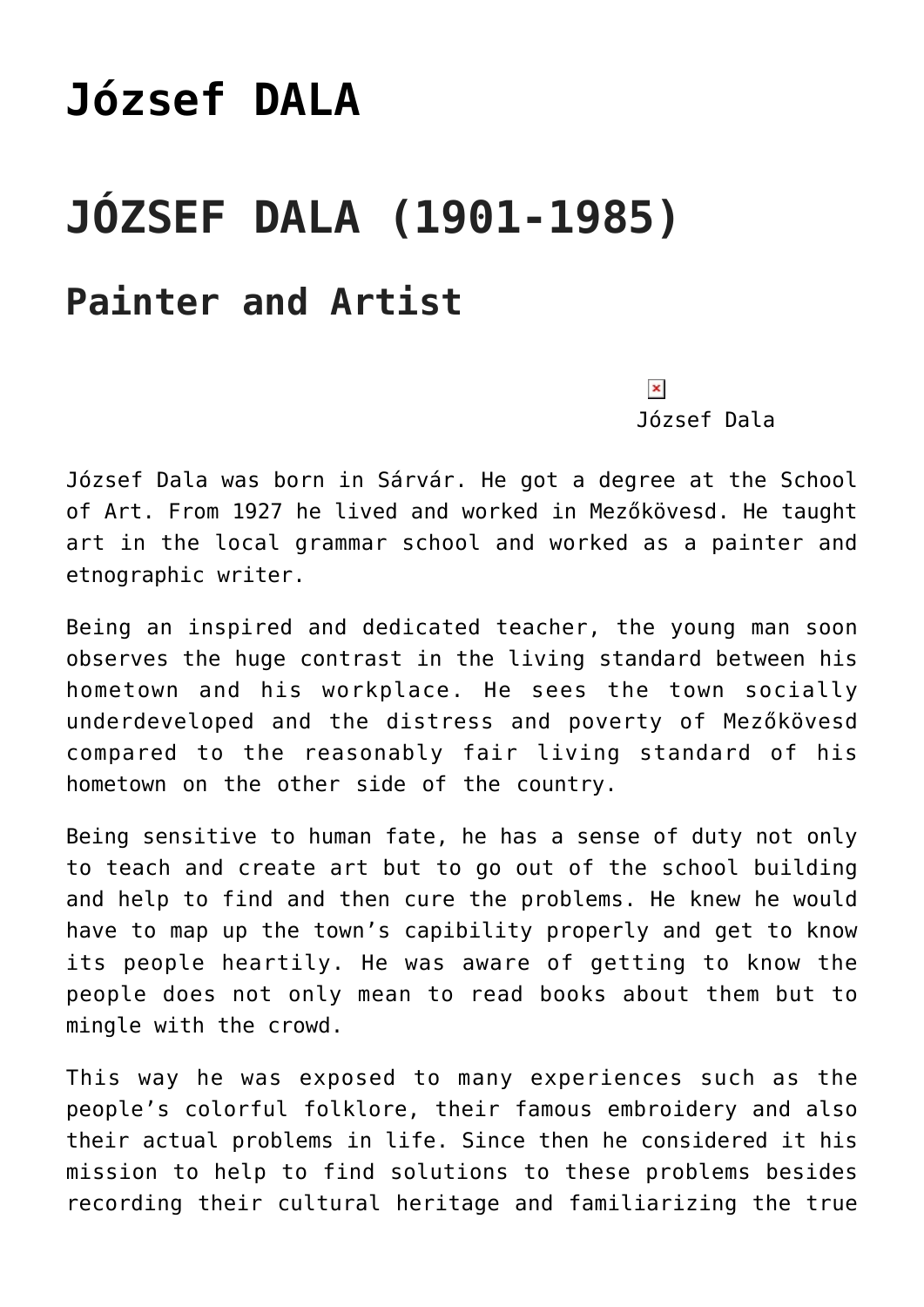## **[József DALA](https://matyovk.hu/en/local-history/artists/jozsef-dala/)**

## **JÓZSEF DALA (1901-1985) Painter and Artist**

 $\pmb{\times}$ 

József Dala

József Dala was born in Sárvár. He got a degree at the School of Art. From 1927 he lived and worked in Mezőkövesd. He taught art in the local grammar school and worked as a painter and etnographic writer.

Being an inspired and dedicated teacher, the young man soon observes the huge contrast in the living standard between his hometown and his workplace. He sees the town socially underdeveloped and the distress and poverty of Mezőkövesd compared to the reasonably fair living standard of his hometown on the other side of the country.

Being sensitive to human fate, he has a sense of duty not only to teach and create art but to go out of the school building and help to find and then cure the problems. He knew he would have to map up the town's capibility properly and get to know its people heartily. He was aware of getting to know the people does not only mean to read books about them but to mingle with the crowd.

This way he was exposed to many experiences such as the people's colorful folklore, their famous embroidery and also their actual problems in life. Since then he considered it his mission to help to find solutions to these problems besides recording their cultural heritage and familiarizing the true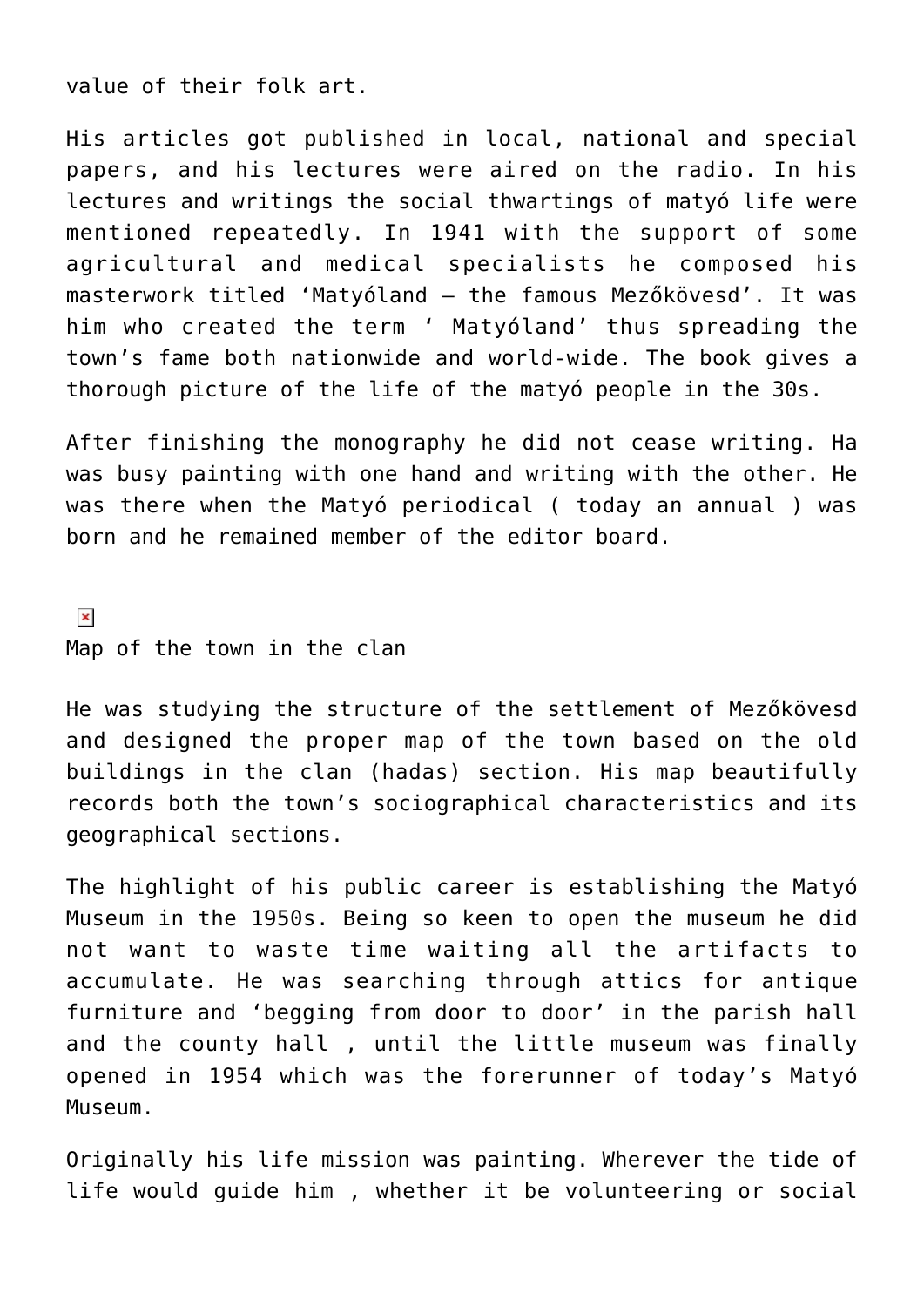value of their folk art.

His articles got published in local, national and special papers, and his lectures were aired on the radio. In his lectures and writings the social thwartings of matyó life were mentioned repeatedly. In 1941 with the support of some agricultural and medical specialists he composed his masterwork titled 'Matyóland – the famous Mezőkövesd'. It was him who created the term ' Matyóland' thus spreading the town's fame both nationwide and world-wide. The book gives a thorough picture of the life of the matyó people in the 30s.

After finishing the monography he did not cease writing. Ha was busy painting with one hand and writing with the other. He was there when the Matyó periodical ( today an annual ) was born and he remained member of the editor board.

 $\pmb{\times}$ Map of the town in the clan

He was studying the structure of the settlement of Mezőkövesd and designed the proper map of the town based on the old buildings in the clan (hadas) section. His map beautifully records both the town's sociographical characteristics and its geographical sections.

The highlight of his public career is establishing the Matyó Museum in the 1950s. Being so keen to open the museum he did not want to waste time waiting all the artifacts to accumulate. He was searching through attics for antique furniture and 'begging from door to door' in the parish hall and the county hall , until the little museum was finally opened in 1954 which was the forerunner of today's Matyó Museum.

Originally his life mission was painting. Wherever the tide of life would guide him , whether it be volunteering or social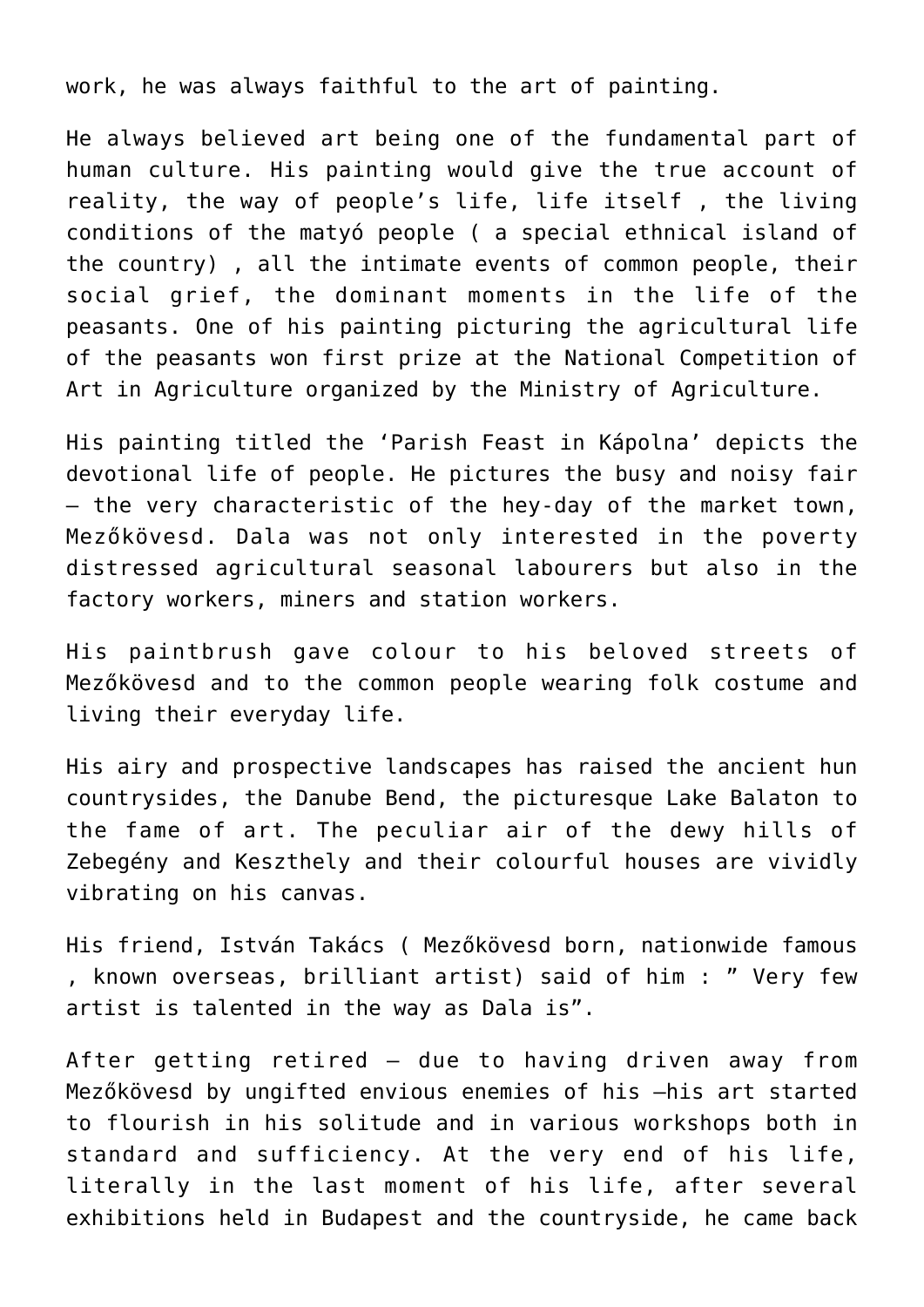work, he was always faithful to the art of painting.

He always believed art being one of the fundamental part of human culture. His painting would give the true account of reality, the way of people's life, life itself , the living conditions of the matyó people ( a special ethnical island of the country) , all the intimate events of common people, their social grief, the dominant moments in the life of the peasants. One of his painting picturing the agricultural life of the peasants won first prize at the National Competition of Art in Agriculture organized by the Ministry of Agriculture.

His painting titled the 'Parish Feast in Kápolna' depicts the devotional life of people. He pictures the busy and noisy fair – the very characteristic of the hey-day of the market town, Mezőkövesd. Dala was not only interested in the poverty distressed agricultural seasonal labourers but also in the factory workers, miners and station workers.

His paintbrush gave colour to his beloved streets of Mezőkövesd and to the common people wearing folk costume and living their everyday life.

His airy and prospective landscapes has raised the ancient hun countrysides, the Danube Bend, the picturesque Lake Balaton to the fame of art. The peculiar air of the dewy hills of Zebegény and Keszthely and their colourful houses are vividly vibrating on his canvas.

His friend, István Takács ( Mezőkövesd born, nationwide famous , known overseas, brilliant artist) said of him : " Very few artist is talented in the way as Dala is".

After getting retired – due to having driven away from Mezőkövesd by ungifted envious enemies of his –his art started to flourish in his solitude and in various workshops both in standard and sufficiency. At the very end of his life, literally in the last moment of his life, after several exhibitions held in Budapest and the countryside, he came back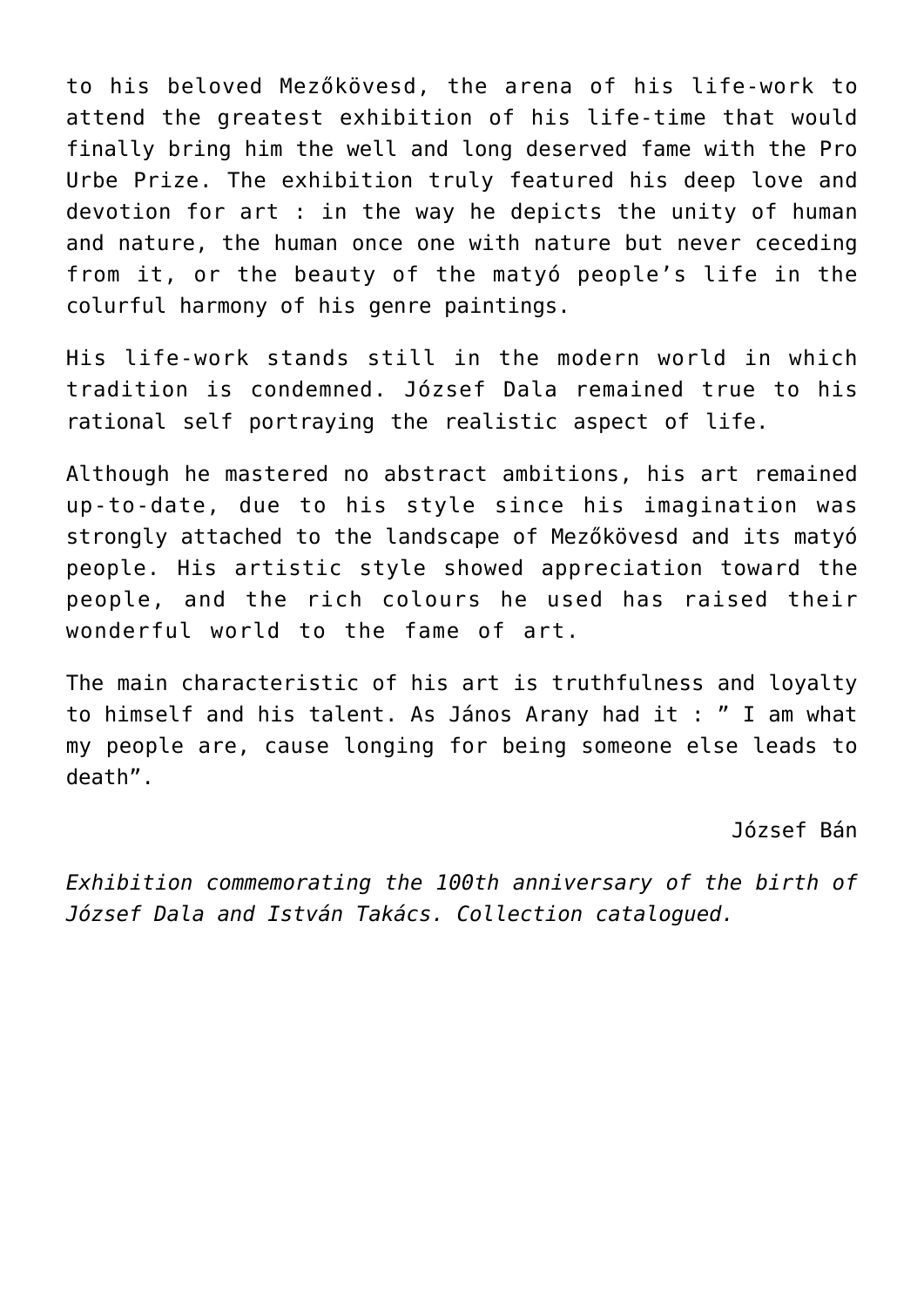to his beloved Mezőkövesd, the arena of his life-work to attend the greatest exhibition of his life-time that would finally bring him the well and long deserved fame with the Pro Urbe Prize. The exhibition truly featured his deep love and devotion for art : in the way he depicts the unity of human and nature, the human once one with nature but never ceceding from it, or the beauty of the matyó people's life in the colurful harmony of his genre paintings.

His life-work stands still in the modern world in which tradition is condemned. József Dala remained true to his rational self portraying the realistic aspect of life.

Although he mastered no abstract ambitions, his art remained up-to-date, due to his style since his imagination was strongly attached to the landscape of Mezőkövesd and its matyó people. His artistic style showed appreciation toward the people, and the rich colours he used has raised their wonderful world to the fame of art.

The main characteristic of his art is truthfulness and loyalty to himself and his talent. As János Arany had it : " I am what my people are, cause longing for being someone else leads to death".

József Bán

*Exhibition commemorating the 100th anniversary of the birth of József Dala and István Takács. Collection catalogued.*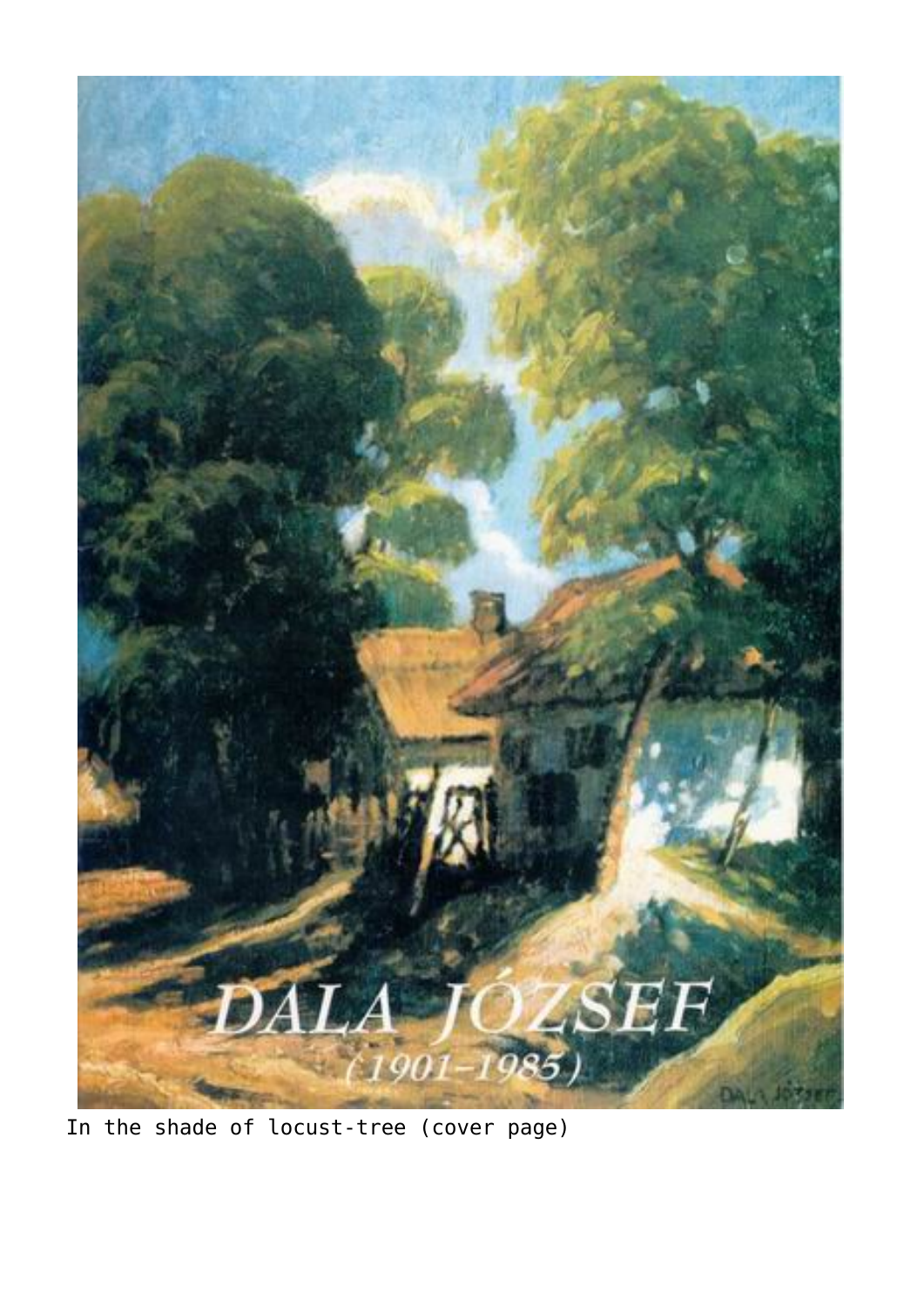

In the shade of locust-tree (cover page)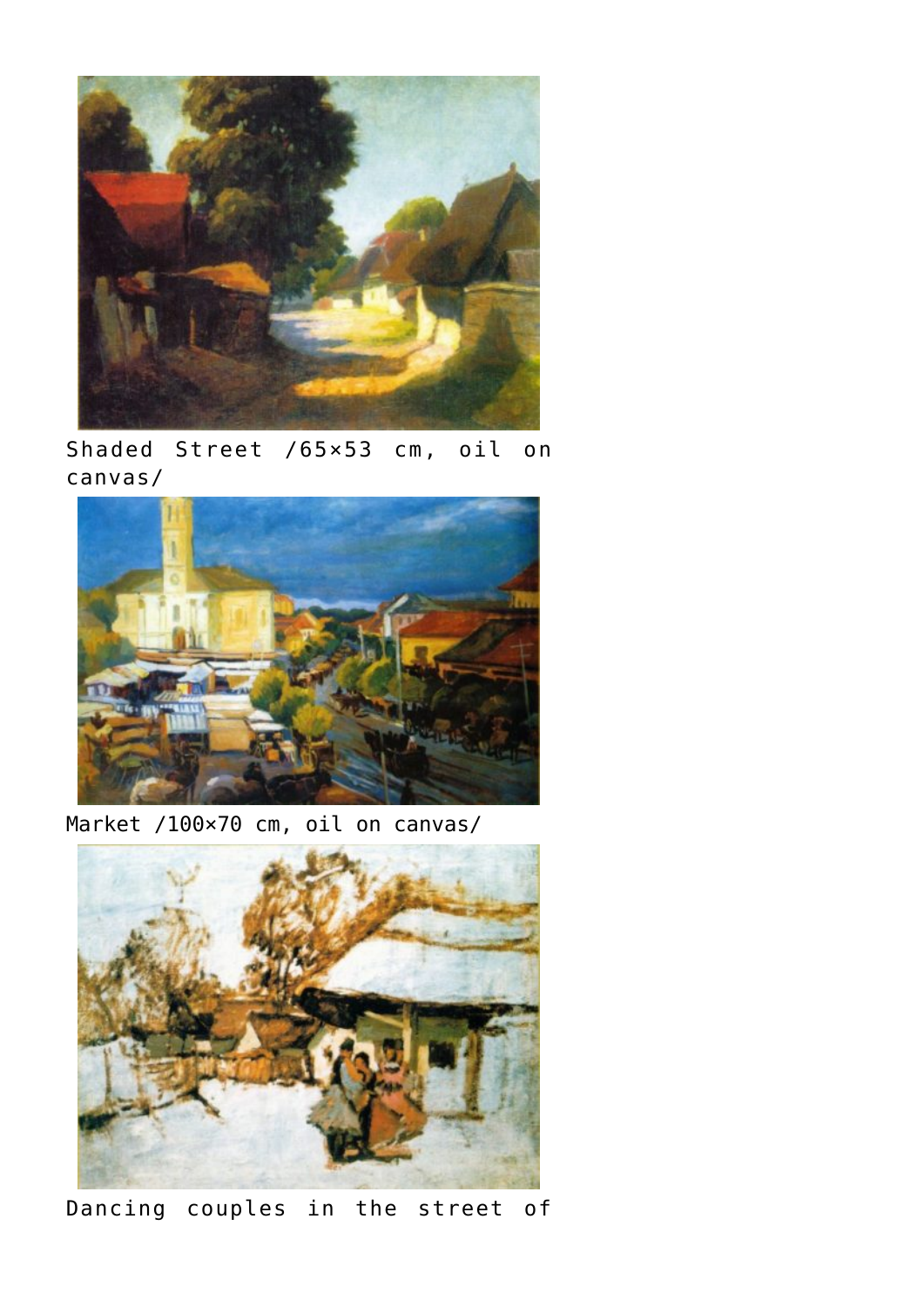

Shaded Street /65×53 cm, oil on canvas/



Market /100×70 cm, oil on canvas/



Dancing couples in the street of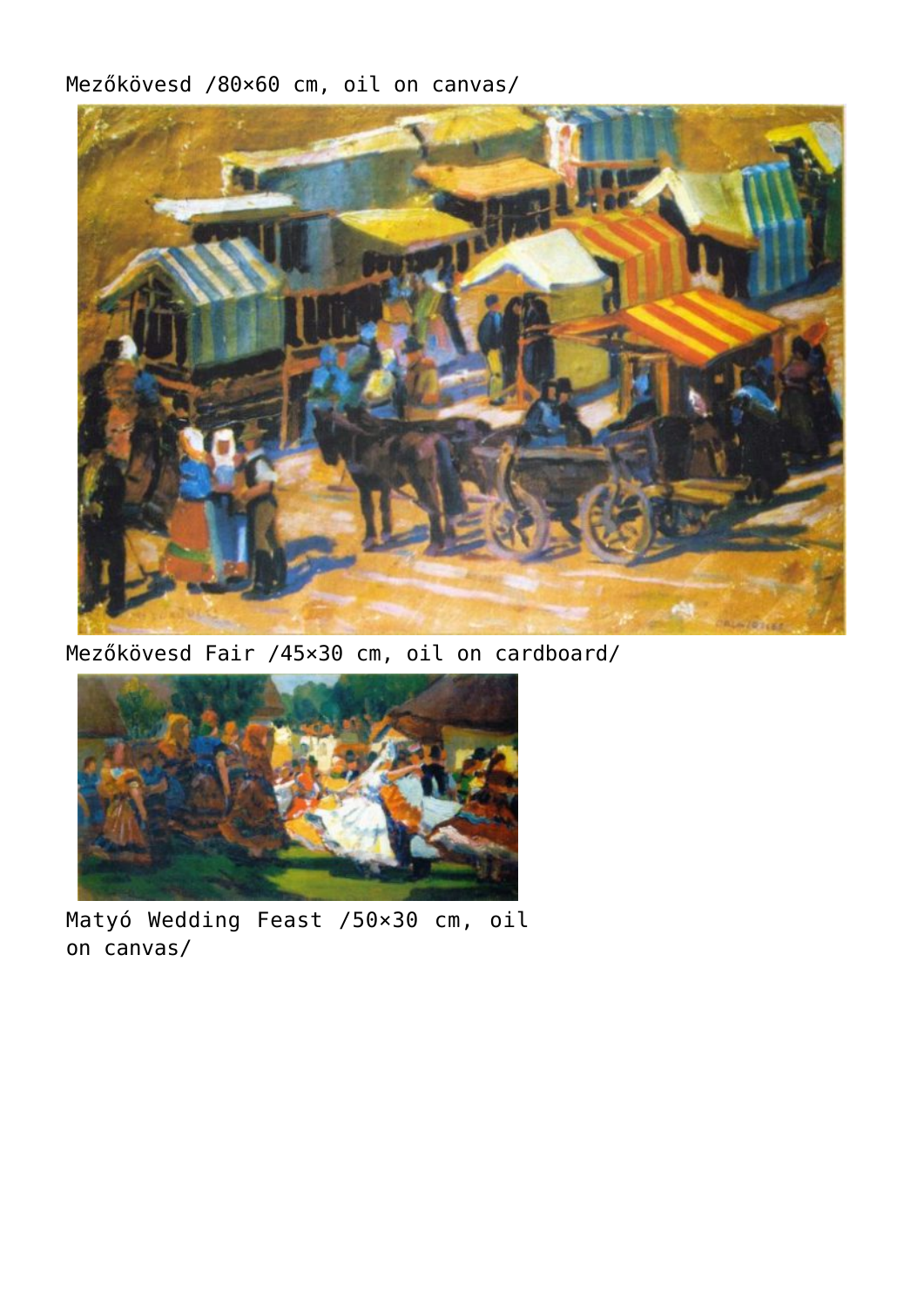Mezőkövesd /80×60 cm, oil on canvas/



Mezőkövesd Fair /45×30 cm, oil on cardboard/



Matyó Wedding Feast /50×30 cm, oil on canvas/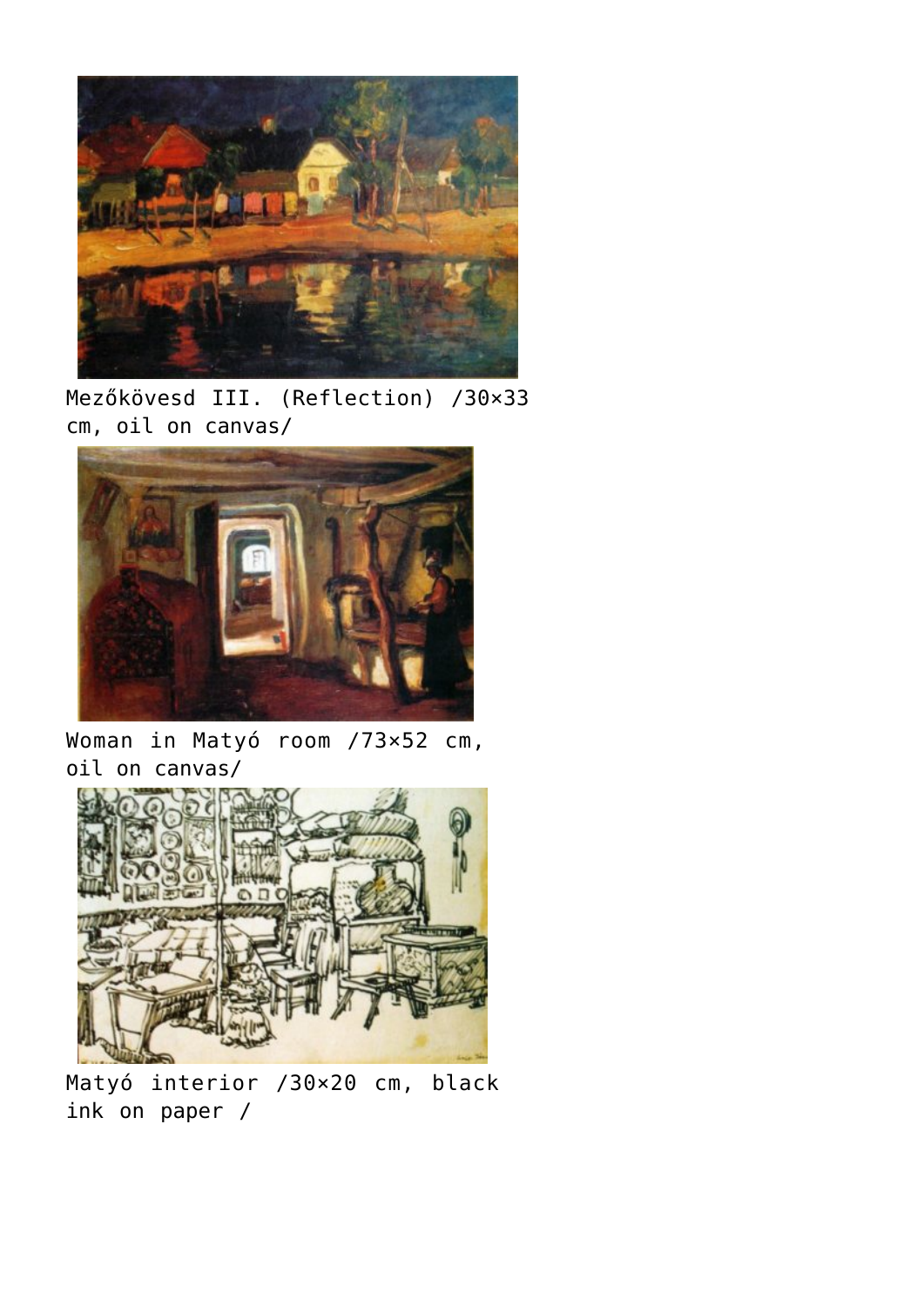

Mezőkövesd III. (Reflection) /30×33 cm, oil on canvas/



Woman in Matyó room /73×52 cm, oil on canvas/



Matyó interior /30×20 cm, black ink on paper /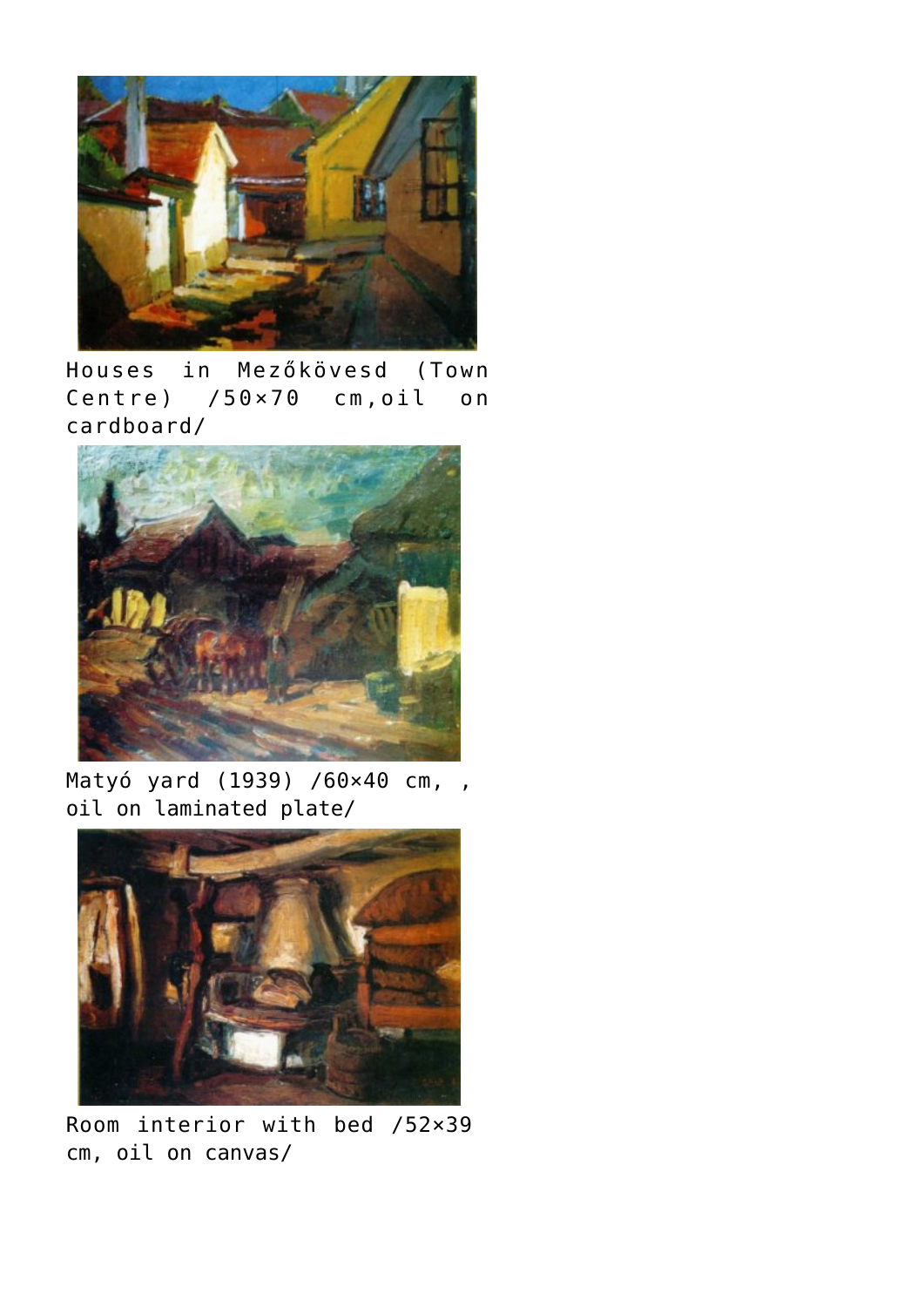

Houses in Mezőkövesd (Town Centre) /50×70 cm,oil on cardboard/



Matyó yard (1939) /60×40 cm, , oil on laminated plate/



Room interior with bed /52×39 cm, oil on canvas/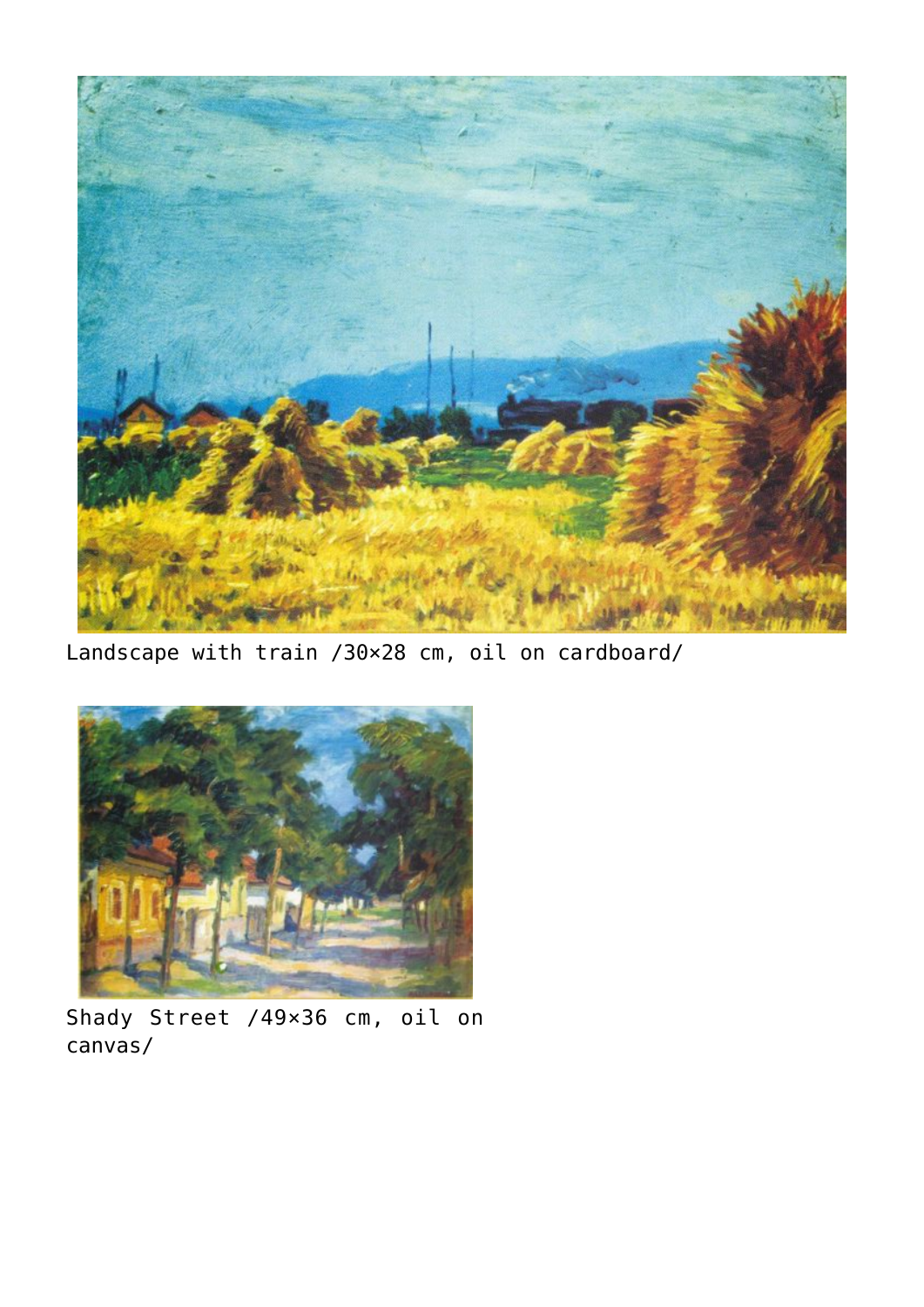

Landscape with train /30×28 cm, oil on cardboard/



Shady Street /49×36 cm, oil on canvas/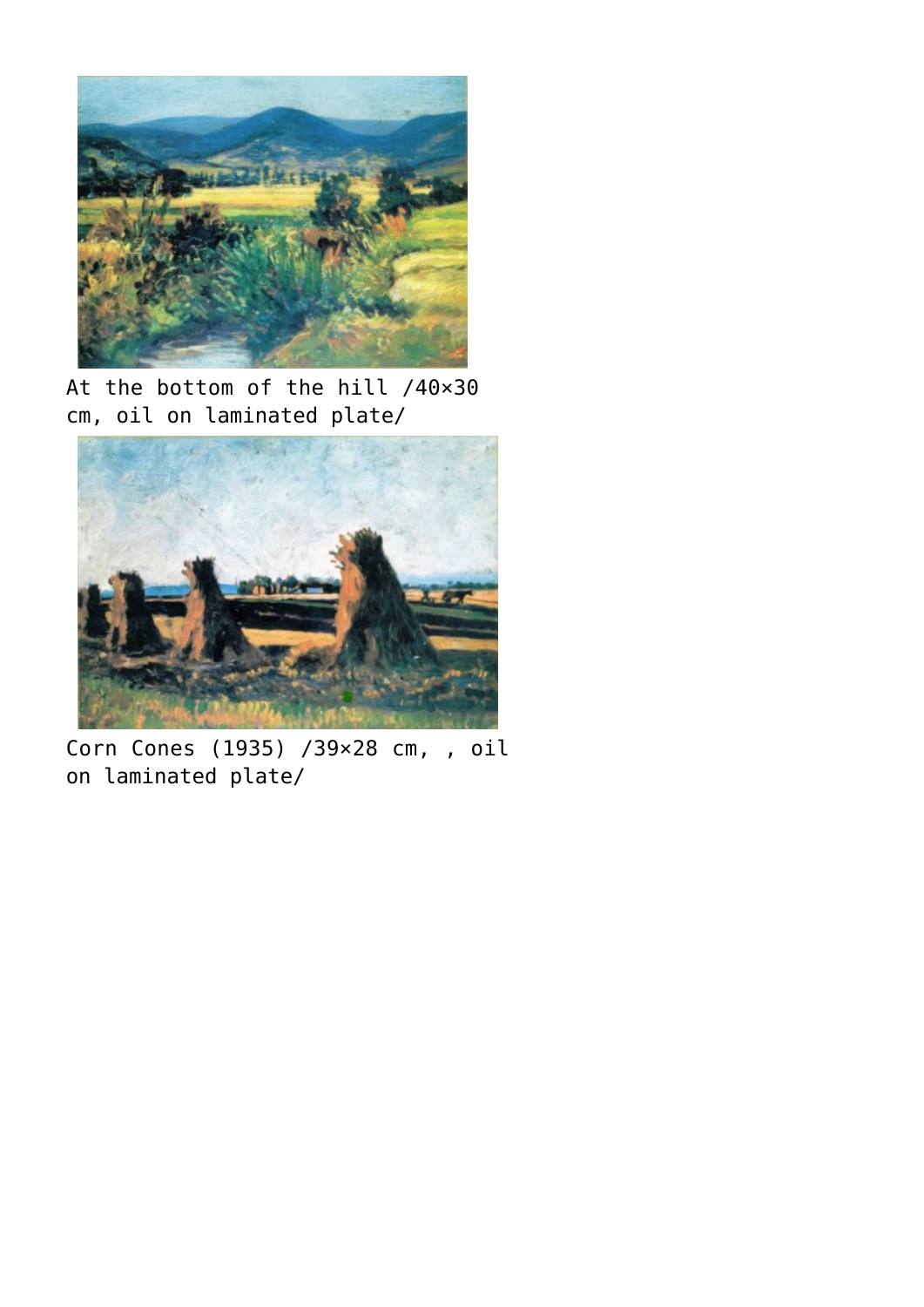

At the bottom of the hill /40×30 cm, oil on laminated plate/



Corn Cones (1935) /39×28 cm, , oil on laminated plate/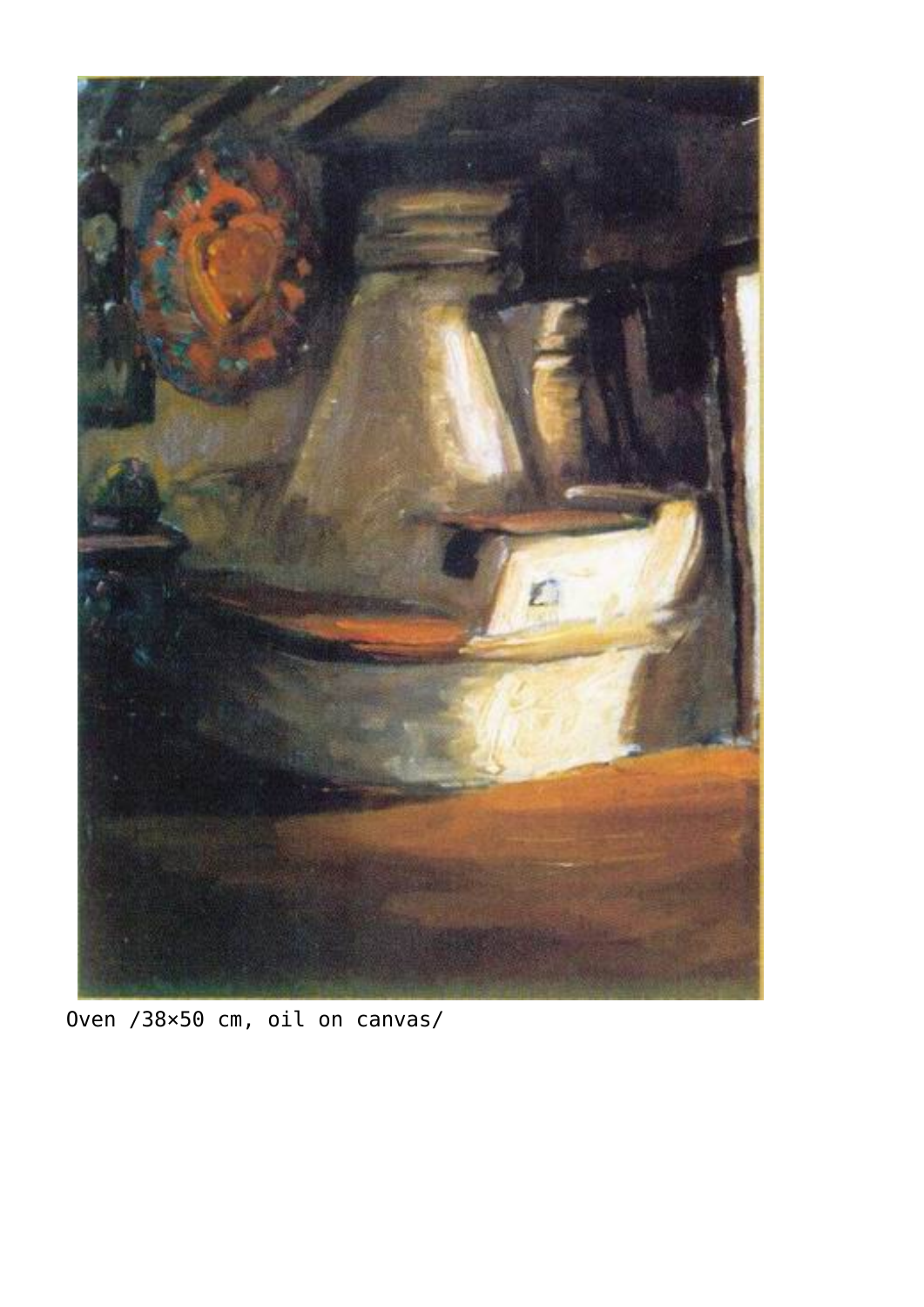

Oven /38×50 cm, oil on canvas/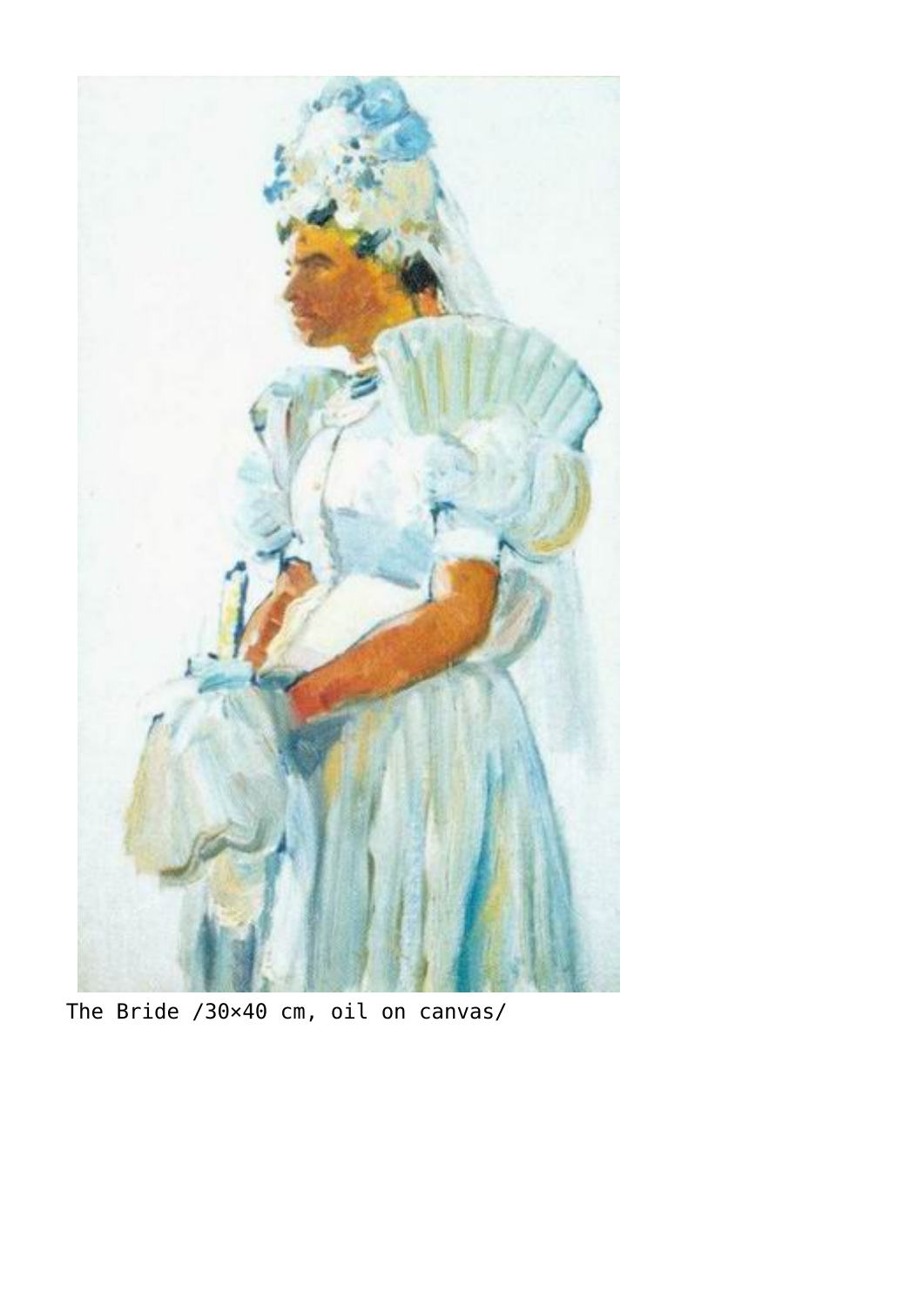

The Bride /30×40 cm, oil on canvas/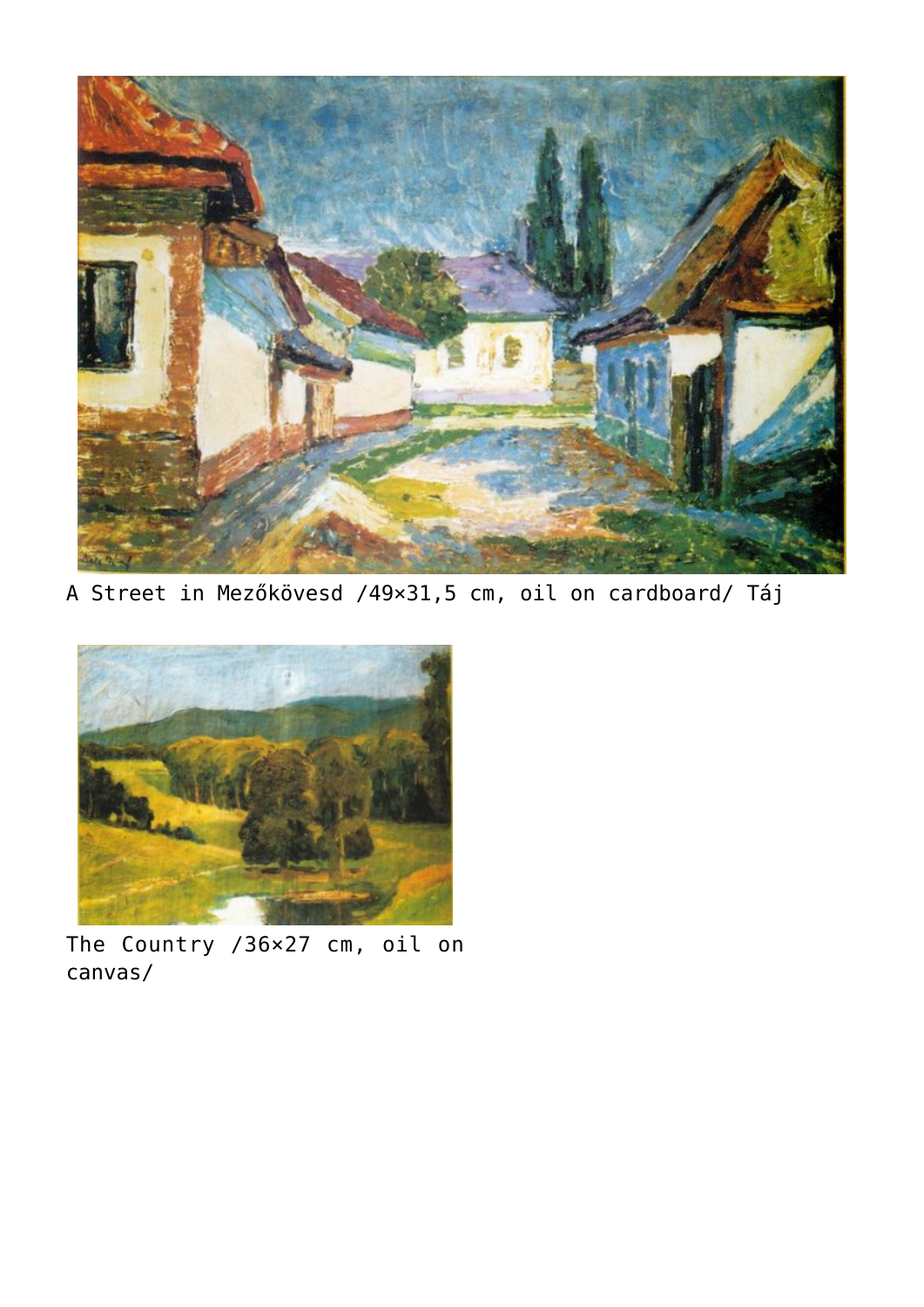

A Street in Mezőkövesd /49×31,5 cm, oil on cardboard/ Táj



The Country /36×27 cm, oil on canvas/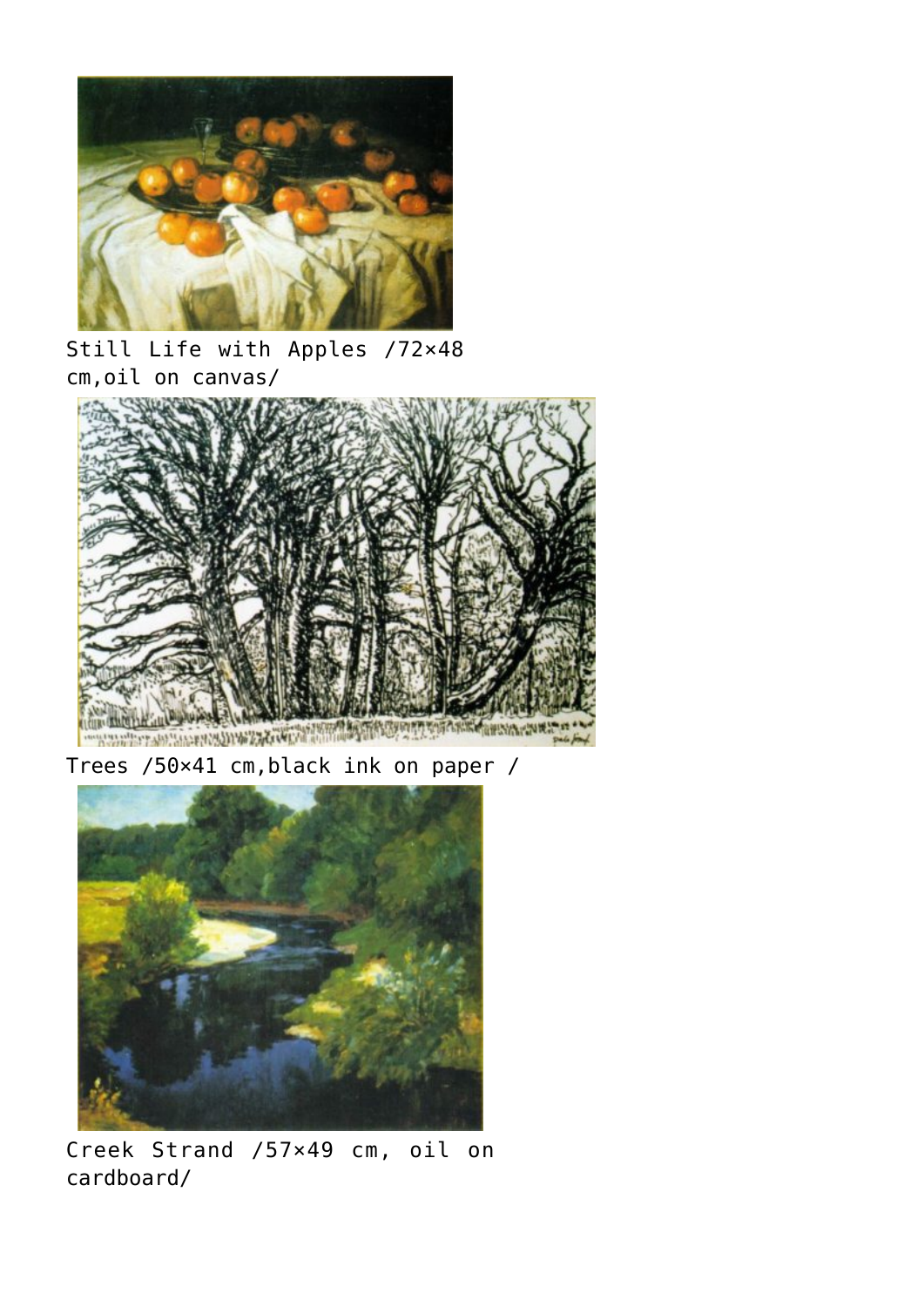

Still Life with Apples /72×48 cm,oil on canvas/



Trees /50×41 cm,black ink on paper /



Creek Strand /57×49 cm, oil on cardboard/